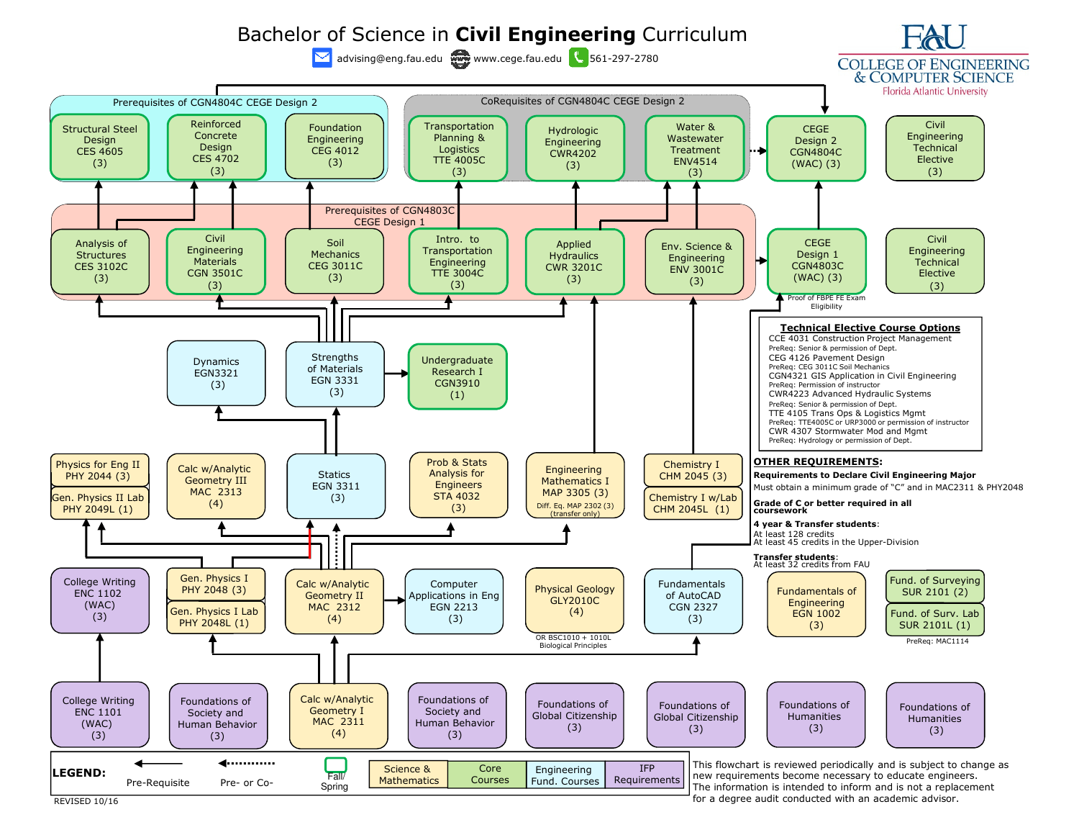

for a degree audit conducted with an academic advisor.